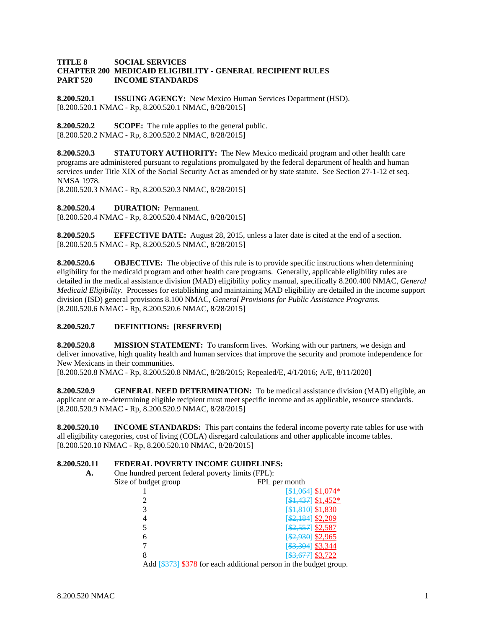### **TITLE 8 SOCIAL SERVICES CHAPTER 200 MEDICAID ELIGIBILITY - GENERAL RECIPIENT RULES PART 520 INCOME STANDARDS**

**8.200.520.1 ISSUING AGENCY:** New Mexico Human Services Department (HSD). [8.200.520.1 NMAC - Rp, 8.200.520.1 NMAC, 8/28/2015]

**8.200.520.2 SCOPE:** The rule applies to the general public. [8.200.520.2 NMAC - Rp, 8.200.520.2 NMAC, 8/28/2015]

**8.200.520.3 STATUTORY AUTHORITY:** The New Mexico medicaid program and other health care programs are administered pursuant to regulations promulgated by the federal department of health and human services under Title XIX of the Social Security Act as amended or by state statute. See Section 27-1-12 et seq. NMSA 1978.

[8.200.520.3 NMAC - Rp, 8.200.520.3 NMAC, 8/28/2015]

**8.200.520.4 DURATION:** Permanent. [8.200.520.4 NMAC - Rp, 8.200.520.4 NMAC, 8/28/2015]

**8.200.520.5 EFFECTIVE DATE:** August 28, 2015, unless a later date is cited at the end of a section. [8.200.520.5 NMAC - Rp, 8.200.520.5 NMAC, 8/28/2015]

**8.200.520.6 OBJECTIVE:** The objective of this rule is to provide specific instructions when determining eligibility for the medicaid program and other health care programs. Generally, applicable eligibility rules are detailed in the medical assistance division (MAD) eligibility policy manual, specifically 8.200.400 NMAC, *General Medicaid Eligibility*. Processes for establishing and maintaining MAD eligibility are detailed in the income support division (ISD) general provisions 8.100 NMAC, *General Provisions for Public Assistance Programs*. [8.200.520.6 NMAC - Rp, 8.200.520.6 NMAC, 8/28/2015]

### **8.200.520.7 DEFINITIONS: [RESERVED]**

**8.200.520.8** MISSION STATEMENT: To transform lives. Working with our partners, we design and deliver innovative, high quality health and human services that improve the security and promote independence for New Mexicans in their communities.

[8.200.520.8 NMAC - Rp, 8.200.520.8 NMAC, 8/28/2015; Repealed/E, 4/1/2016; A/E, 8/11/2020]

**8.200.520.9 GENERAL NEED DETERMINATION:** To be medical assistance division (MAD) eligible, an applicant or a re-determining eligible recipient must meet specific income and as applicable, resource standards. [8.200.520.9 NMAC - Rp, 8.200.520.9 NMAC, 8/28/2015]

**8.200.520.10 INCOME STANDARDS:** This part contains the federal income poverty rate tables for use with all eligibility categories, cost of living (COLA) disregard calculations and other applicable income tables. [8.200.520.10 NMAC - Rp, 8.200.520.10 NMAC, 8/28/2015]

### **8.200.520.11 FEDERAL POVERTY INCOME GUIDELINES:**

**A.** One hundred percent federal poverty limits (FPL):

| Size of budget group | FPL per month                                                          |
|----------------------|------------------------------------------------------------------------|
|                      | $[$1,064]$ \$1,074*                                                    |
|                      | $[$1,437]$ \$1,452*                                                    |
|                      | [\$1,810] \$1,830                                                      |
|                      | $[$2,184]$ \$2,209                                                     |
|                      | $$2,557$ \$2,587                                                       |
| n                    | $[$2,930]$ \$2,965                                                     |
|                      | [\$3,304] \$3,344                                                      |
| 8                    | $53,677$ \$3,722                                                       |
|                      | $\Lambda$ 44 [0272] 0270 for each additional noming in the budget com- |

Add [\$373] \$378 for each additional person in the budget group.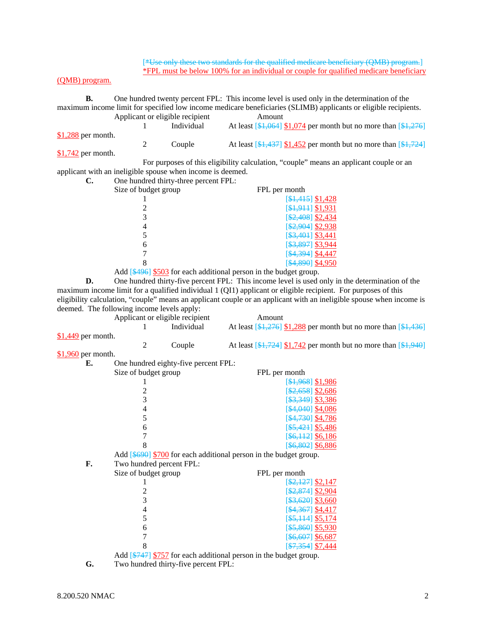[\*Use only these two standards for the qualified medicare beneficiary (QMB) program.] \*FPL must be below 100% for an individual or couple for qualified medicare beneficiary

### (QMB) program.

**B.** One hundred twenty percent FPL: This income level is used only in the determination of the maximum income limit for specified low income medicare beneficiaries (SLIMB) applicants or eligible recipients. Applicant or eligible recipient Amount

|                                    |  | Individual | At least $[4, 064]$ \$1,074 per month but no more than $[4, 276]$                                              |
|------------------------------------|--|------------|----------------------------------------------------------------------------------------------------------------|
| $$1,288$ per month.<br>$A + B + A$ |  | Couple     | At least $\left[\frac{1437}{1437}\right]$ \$1,452 per month but no more than $\left[\frac{14724}{1437}\right]$ |

**\$1,742** per month.

 For purposes of this eligibility calculation, "couple" means an applicant couple or an applicant with an ineligible spouse when income is deemed.<br> **C.** One hundred thirty-three percent FPL:

| C. | One hundred thirty-three percent FPL: |                                |
|----|---------------------------------------|--------------------------------|
|    | Size of budget group                  | FPL per month                  |
|    |                                       | $[$1,415]$ \$1,428             |
|    |                                       | $[$1,911]$ \$1,931             |
|    |                                       | $[$2,408]$ \$2,434             |
|    |                                       | \$2,904] \$2,938               |
|    |                                       | $[$ \$3,401] \$3,441           |
|    | 6                                     | [\$3,897] \$3,944              |
|    |                                       | \$4,394] \$4,447               |
|    |                                       | [ <del>\$4,890</del> ] \$4,950 |

Add [\$496] \$503 for each additional person in the budget group.

**D.** One hundred thirty-five percent FPL: This income level is used only in the determination of the maximum income limit for a qualified individual 1 (QI1) applicant or eligible recipient. For purposes of this eligibility calculation, "couple" means an applicant couple or an applicant with an ineligible spouse when income is deemed. The following income levels apply:

|                     | deemed. The following income levels apply: |                                                                                                                                                                                                                                                                                                                                    | engibility calculation, couple theatis an applicant couple of an applicant with an ineligible spouse when income is |
|---------------------|--------------------------------------------|------------------------------------------------------------------------------------------------------------------------------------------------------------------------------------------------------------------------------------------------------------------------------------------------------------------------------------|---------------------------------------------------------------------------------------------------------------------|
|                     |                                            | Applicant or eligible recipient                                                                                                                                                                                                                                                                                                    | Amount                                                                                                              |
|                     |                                            | Individual                                                                                                                                                                                                                                                                                                                         | At least $[\frac{1,276}{1,288}]$ per month but no more than $[\frac{1,436}{1,436}]$                                 |
| \$1,449 per month.  |                                            |                                                                                                                                                                                                                                                                                                                                    |                                                                                                                     |
|                     | 2                                          | Couple                                                                                                                                                                                                                                                                                                                             | At least $[\frac{1724}{1724}]$ \$1,742 per month but no more than $[\frac{194}{940}]$                               |
| $$1,960$ per month. |                                            |                                                                                                                                                                                                                                                                                                                                    |                                                                                                                     |
| Е.                  |                                            | One hundred eighty-five percent FPL:                                                                                                                                                                                                                                                                                               |                                                                                                                     |
|                     | Size of budget group                       |                                                                                                                                                                                                                                                                                                                                    | FPL per month                                                                                                       |
|                     |                                            |                                                                                                                                                                                                                                                                                                                                    | $[4,968]$ \$1,986                                                                                                   |
|                     | $\overline{\mathbf{c}}$                    |                                                                                                                                                                                                                                                                                                                                    | $\[ $2,658]$ \$2,686                                                                                                |
|                     | 3                                          |                                                                                                                                                                                                                                                                                                                                    | $[$ \$3,349] \$3,386                                                                                                |
|                     | 4                                          |                                                                                                                                                                                                                                                                                                                                    | $[4,040]$ \$4,086                                                                                                   |
|                     | 5                                          |                                                                                                                                                                                                                                                                                                                                    | $[4,730]$ \$4,786                                                                                                   |
|                     | 6                                          |                                                                                                                                                                                                                                                                                                                                    | $[$ \$5,421] \$5,486                                                                                                |
|                     | 7                                          |                                                                                                                                                                                                                                                                                                                                    | $[$ \$6,112] \$6,186                                                                                                |
|                     | 8                                          |                                                                                                                                                                                                                                                                                                                                    | [\$6,802] \$6,886                                                                                                   |
|                     |                                            |                                                                                                                                                                                                                                                                                                                                    | Add [\$690] \$700 for each additional person in the budget group.                                                   |
| F.                  | Two hundred percent FPL:                   |                                                                                                                                                                                                                                                                                                                                    |                                                                                                                     |
|                     | Size of budget group                       |                                                                                                                                                                                                                                                                                                                                    | FPL per month                                                                                                       |
|                     |                                            |                                                                                                                                                                                                                                                                                                                                    | $[ $2,127]$ \$2,147                                                                                                 |
|                     | $\overline{c}$                             |                                                                                                                                                                                                                                                                                                                                    | [ \$2,874] \$2,904                                                                                                  |
|                     | 3                                          |                                                                                                                                                                                                                                                                                                                                    | $[43, 620]$ \$3,660                                                                                                 |
|                     | 4                                          |                                                                                                                                                                                                                                                                                                                                    | $[4,367]$ \$4,417                                                                                                   |
|                     | 5                                          |                                                                                                                                                                                                                                                                                                                                    | $[$ \$5,114] \$5,174                                                                                                |
|                     | 6                                          |                                                                                                                                                                                                                                                                                                                                    | $[$ \$5,860] \$5,930                                                                                                |
|                     | 7                                          |                                                                                                                                                                                                                                                                                                                                    | $[$ \$6,607] \$6,687                                                                                                |
|                     | 8                                          |                                                                                                                                                                                                                                                                                                                                    | $\[ $7,354]$ \$7,444                                                                                                |
|                     |                                            | $\mathbf{1}$ $\mathbf{1}$ $\mathbf{1}$ $\mathbf{1}$ $\mathbf{1}$ $\mathbf{1}$ $\mathbf{1}$ $\mathbf{1}$ $\mathbf{1}$ $\mathbf{1}$ $\mathbf{1}$ $\mathbf{1}$ $\mathbf{1}$ $\mathbf{1}$ $\mathbf{1}$ $\mathbf{1}$ $\mathbf{1}$ $\mathbf{1}$ $\mathbf{1}$ $\mathbf{1}$ $\mathbf{1}$ $\mathbf{1}$ $\mathbf{1}$ $\mathbf{1}$ $\mathbf{$ | Add [\$747] \$757 for each additional person in the budget group.                                                   |
|                     |                                            |                                                                                                                                                                                                                                                                                                                                    |                                                                                                                     |

**G.** Two hundred thirty-five percent FPL: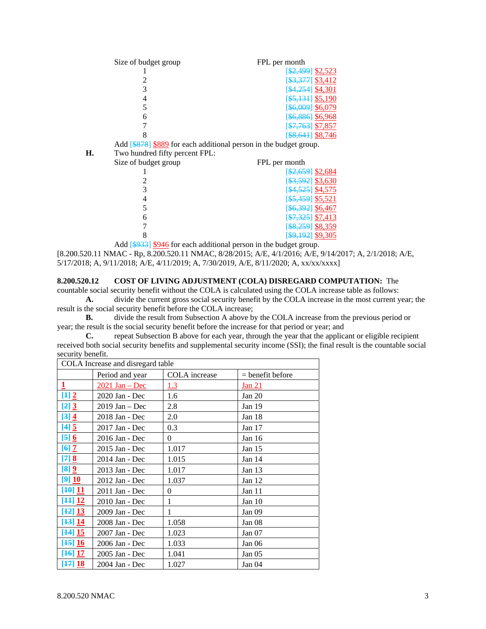| Size of budget group | FPL per month        |
|----------------------|----------------------|
|                      | $\[ $2,499]$ \$2,523 |
|                      | $[$3,377]$ \$3,412   |
|                      | [\$4,254] \$4,301    |
|                      | $[$ \$5,131] \$5,190 |
|                      | [\$6,009] \$6,079    |
| h                    | [\$6,886] \$6,968    |
|                      | $[$7,763]$ \$7,857   |
|                      | $[$ \$8,641] \$8,746 |

Add [\$878] \$889 for each additional person in the budget group.

**H.** Two hundred fifty percent FPL:

| <br>I wo hundred they percent <b>I</b> I E. |                      |
|---------------------------------------------|----------------------|
| Size of budget group                        | FPL per month        |
|                                             | $$2,659$ \$2,684     |
|                                             | $\[ $3,592]$ \$3,630 |
|                                             | $[4,525]$ \$4,575    |
|                                             | $\[ $5,459]$ \$5,521 |
|                                             | [\$6,392] \$6,467    |
|                                             | $\[ $7,325]$ \$7,413 |
|                                             | $[$ \$8,259] \$8,359 |
|                                             | [\$9,192] \$9,305    |
|                                             |                      |

 Add [\$933] \$946 for each additional person in the budget group. [8.200.520.11 NMAC - Rp, 8.200.520.11 NMAC, 8/28/2015; A/E, 4/1/2016; A/E, 9/14/2017; A, 2/1/2018; A/E, 5/17/2018; A, 9/11/2018; A/E, 4/11/2019; A, 7/30/2019, A/E, 8/11/2020; A, xx/xx/xxxx]

**8.200.520.12 COST OF LIVING ADJUSTMENT (COLA) DISREGARD COMPUTATION:** The

countable social security benefit without the COLA is calculated using the COLA increase table as follows:

**A.** divide the current gross social security benefit by the COLA increase in the most current year; the result is the social security benefit before the COLA increase;

**B.** divide the result from Subsection A above by the COLA increase from the previous period or year; the result is the social security benefit before the increase for that period or year; and

**C.** repeat Subsection B above for each year, through the year that the applicant or eligible recipient received both social security benefits and supplemental security income (SSI); the final result is the countable social security benefit.

| COLA Increase and disregard table |                |                    |  |  |  |  |  |
|-----------------------------------|----------------|--------------------|--|--|--|--|--|
| Period and year                   | COLA increase  | $=$ benefit before |  |  |  |  |  |
| $2021$ Jan – Dec                  | <u>1.3</u>     | <u>Jan 21</u>      |  |  |  |  |  |
| 2020 Jan - Dec                    | 1.6            | Jan $20$           |  |  |  |  |  |
| $2019$ Jan – Dec                  | 2.8            | Jan 19             |  |  |  |  |  |
| 2018 Jan - Dec                    | 2.0            | Jan 18             |  |  |  |  |  |
| 2017 Jan - Dec                    | 0.3            | Jan $17$           |  |  |  |  |  |
| 2016 Jan - Dec                    | $\overline{0}$ | Jan $16$           |  |  |  |  |  |
| 2015 Jan - Dec                    | 1.017          | Jan $15$           |  |  |  |  |  |
| 2014 Jan - Dec                    | 1.015          | Jan 14             |  |  |  |  |  |
| 2013 Jan - Dec                    | 1.017          | Jan 13             |  |  |  |  |  |
| 2012 Jan - Dec                    | 1.037          | Jan 12             |  |  |  |  |  |
| 2011 Jan - Dec                    | $\theta$       | Jan 11             |  |  |  |  |  |
| 2010 Jan - Dec                    | 1              | Jan 10             |  |  |  |  |  |
| 2009 Jan - Dec                    | 1              | Jan 09             |  |  |  |  |  |
| 2008 Jan - Dec                    | 1.058          | Jan 08             |  |  |  |  |  |
| 2007 Jan - Dec                    | 1.023          | Jan $07$           |  |  |  |  |  |
| 2006 Jan - Dec                    | 1.033          | Jan 06             |  |  |  |  |  |
| 2005 Jan - Dec                    | 1.041          | Jan $05$           |  |  |  |  |  |
| 2004 Jan - Dec                    | 1.027          | Jan $04$           |  |  |  |  |  |
|                                   |                |                    |  |  |  |  |  |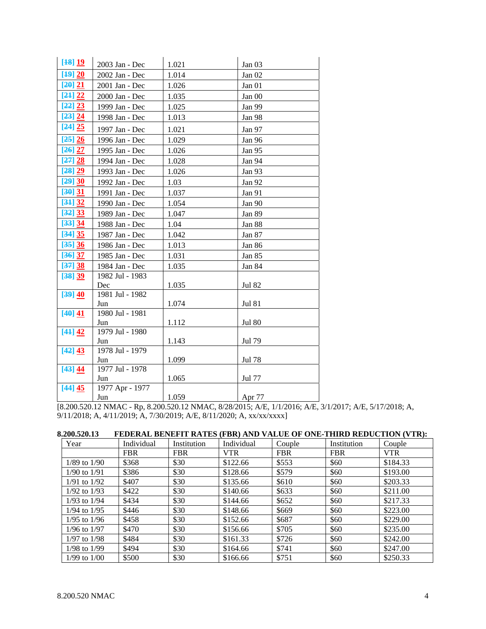| [48] 19   | 2003 Jan - Dec         | 1.021 | Jan 03        |
|-----------|------------------------|-------|---------------|
| [49] 20   | 2002 Jan - Dec         | 1.014 | Jan $02$      |
| [20] 21   | 2001 Jan - Dec         | 1.026 | Jan 01        |
| [24] 22   | 2000 Jan - Dec         | 1.035 | Jan 00        |
| [22] 23   | 1999 Jan - Dec         | 1.025 | Jan 99        |
| [23] 24   | 1998 Jan - Dec         | 1.013 | Jan 98        |
| [24] 25   | 1997 Jan - Dec         | 1.021 | Jan 97        |
| [25] 26   | 1996 Jan - Dec         | 1.029 | Jan 96        |
| $[26]$ 27 | 1995 Jan - Dec         | 1.026 | Jan 95        |
| [27] 28   | 1994 Jan - Dec         | 1.028 | Jan 94        |
| [28] 29   | 1993 Jan - Dec         | 1.026 | Jan 93        |
| [29] 30   | 1992 Jan - Dec         | 1.03  | Jan 92        |
| [30] 31   | 1991 Jan - Dec         | 1.037 | Jan 91        |
| [34] 32   | 1990 Jan - Dec         | 1.054 | Jan 90        |
| [32] 33   | 1989 Jan - Dec         | 1.047 | Jan 89        |
| [33] 34   | 1988 Jan - Dec         | 1.04  | Jan 88        |
| [34] 35   | 1987 Jan - Dec         | 1.042 | Jan 87        |
| [35] 36   | 1986 Jan - Dec         | 1.013 | Jan 86        |
| [36]37    | 1985 Jan - Dec         | 1.031 | Jan 85        |
| [37] 38   | 1984 Jan - Dec         | 1.035 | Jan 84        |
| [38] 39   | 1982 Jul - 1983        |       |               |
|           | Dec                    | 1.035 | <b>Jul 82</b> |
| [39] 40   | 1981 Jul - 1982        |       |               |
|           | Jun                    | 1.074 | <b>Jul 81</b> |
| [40] 41   | 1980 Jul - 1981<br>Jun | 1.112 | <b>Jul 80</b> |
| [41] 42   | 1979 Jul - 1980        |       |               |
|           | Jun                    | 1.143 | Jul 79        |
| [42] 43   | 1978 Jul - 1979        |       |               |
|           | Jun                    | 1.099 | Jul 78        |
| [43] 44   | 1977 Jul - 1978        |       |               |
|           | Jun                    | 1.065 | Jul 77        |
| [44] 45   | 1977 Apr - 1977        |       |               |
|           | Jun                    | 1.059 | Apr 77        |

[8.200.520.12 NMAC - Rp, 8.200.520.12 NMAC, 8/28/2015; A/E, 1/1/2016; A/E, 3/1/2017; A/E, 5/17/2018; A, 9/11/2018; A, 4/11/2019; A, 7/30/2019; A/E, 8/11/2020; A, xx/xx/xxxx]

| 8.200.520.13 FEDERAL BENEFIT RATES (FBR) AND VALUE OF ONE-THIRD REDUCTION (VTR): |  |  |  |  |  |  |
|----------------------------------------------------------------------------------|--|--|--|--|--|--|
|                                                                                  |  |  |  |  |  |  |

| Year             | Individual | Institution | Individual | Couple     | Institution | Couple     |
|------------------|------------|-------------|------------|------------|-------------|------------|
|                  | <b>FBR</b> | <b>FBR</b>  | <b>VTR</b> | <b>FBR</b> | <b>FBR</b>  | <b>VTR</b> |
| $1/89$ to $1/90$ | \$368      | \$30        | \$122.66   | \$553      | \$60        | \$184.33   |
| $1/90$ to $1/91$ | \$386      | \$30        | \$128.66   | \$579      | \$60        | \$193.00   |
| $1/91$ to $1/92$ | \$407      | \$30        | \$135.66   | \$610      | \$60        | \$203.33   |
| $1/92$ to $1/93$ | \$422      | \$30        | \$140.66   | \$633      | \$60        | \$211.00   |
| 1/93 to 1/94     | \$434      | \$30        | \$144.66   | \$652      | \$60        | \$217.33   |
| $1/94$ to $1/95$ | \$446      | \$30        | \$148.66   | \$669      | \$60        | \$223.00   |
| $1/95$ to $1/96$ | \$458      | \$30        | \$152.66   | \$687      | \$60        | \$229.00   |
| $1/96$ to $1/97$ | \$470      | \$30        | \$156.66   | \$705      | \$60        | \$235.00   |
| $1/97$ to $1/98$ | \$484      | \$30        | \$161.33   | \$726      | \$60        | \$242.00   |
| 1/98 to 1/99     | \$494      | \$30        | \$164.66   | \$741      | \$60        | \$247.00   |
| $1/99$ to $1/00$ | \$500      | \$30        | \$166.66   | \$751      | \$60        | \$250.33   |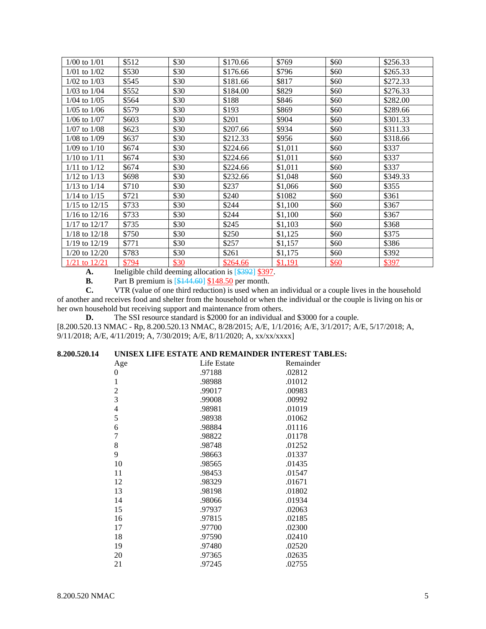| $1/00$ to $1/01$  | \$512 | \$30 | \$170.66 | \$769   | \$60 | \$256.33 |
|-------------------|-------|------|----------|---------|------|----------|
| $1/01$ to $1/02$  | \$530 | \$30 | \$176.66 | \$796   | \$60 | \$265.33 |
| $1/02$ to $1/03$  | \$545 | \$30 | \$181.66 | \$817   | \$60 | \$272.33 |
| $1/03$ to $1/04$  | \$552 | \$30 | \$184.00 | \$829   | \$60 | \$276.33 |
| $1/04$ to $1/05$  | \$564 | \$30 | \$188    | \$846   | \$60 | \$282.00 |
| $1/05$ to $1/06$  | \$579 | \$30 | \$193    | \$869   | \$60 | \$289.66 |
| $1/06$ to $1/07$  | \$603 | \$30 | \$201    | \$904   | \$60 | \$301.33 |
| $1/07$ to $1/08$  | \$623 | \$30 | \$207.66 | \$934   | \$60 | \$311.33 |
| $1/08$ to $1/09$  | \$637 | \$30 | \$212.33 | \$956   | \$60 | \$318.66 |
| $1/09$ to $1/10$  | \$674 | \$30 | \$224.66 | \$1,011 | \$60 | \$337    |
| $1/10$ to $1/11$  | \$674 | \$30 | \$224.66 | \$1,011 | \$60 | \$337    |
| $1/11$ to $1/12$  | \$674 | \$30 | \$224.66 | \$1,011 | \$60 | \$337    |
| $1/12$ to $1/13$  | \$698 | \$30 | \$232.66 | \$1,048 | \$60 | \$349.33 |
| $1/13$ to $1/14$  | \$710 | \$30 | \$237    | \$1,066 | \$60 | \$355    |
| $1/14$ to $1/15$  | \$721 | \$30 | \$240    | \$1082  | \$60 | \$361    |
| $1/15$ to $12/15$ | \$733 | \$30 | \$244    | \$1,100 | \$60 | \$367    |
| $1/16$ to $12/16$ | \$733 | \$30 | \$244    | \$1,100 | \$60 | \$367    |
| $1/17$ to $12/17$ | \$735 | \$30 | \$245    | \$1,103 | \$60 | \$368    |
| $1/18$ to $12/18$ | \$750 | \$30 | \$250    | \$1,125 | \$60 | \$375    |
| $1/19$ to $12/19$ | \$771 | \$30 | \$257    | \$1,157 | \$60 | \$386    |
| $1/20$ to $12/20$ | \$783 | \$30 | \$261    | \$1,175 | \$60 | \$392    |
| $1/21$ to $12/21$ | \$794 | \$30 | \$264.66 | \$1,191 | \$60 | \$397    |

**A.** Ineligible child deeming allocation is [\$392] \$397.

**B.** Part B premium is [\$144.60] \$148.50 per month.<br> **C.** VTR (value of one third reduction) is used when a

**C.** VTR (value of one third reduction) is used when an individual or a couple lives in the household of another and receives food and shelter from the household or when the individual or the couple is living on his or her own household but receiving support and maintenance from others.

**D.** The SSI resource standard is \$2000 for an individual and \$3000 for a couple.

[8.200.520.13 NMAC - Rp, 8.200.520.13 NMAC, 8/28/2015; A/E, 1/1/2016; A/E, 3/1/2017; A/E, 5/17/2018; A, 9/11/2018; A/E, 4/11/2019; A, 7/30/2019; A/E, 8/11/2020; A, xx/xx/xxxx]

## **8.200.520.14 UNISEX LIFE ESTATE AND REMAINDER INTEREST TABLES:**

| Age              | Life Estate | Remainder |
|------------------|-------------|-----------|
| $\boldsymbol{0}$ | .97188      | .02812    |
| $\mathbf{1}$     | .98988      | .01012    |
| $\overline{c}$   | .99017      | .00983    |
| 3                | .99008      | .00992    |
| $\overline{4}$   | .98981      | .01019    |
| 5                | .98938      | .01062    |
| 6                | .98884      | .01116    |
| $\overline{7}$   | .98822      | .01178    |
| 8                | .98748      | .01252    |
| 9                | .98663      | .01337    |
| 10               | .98565      | .01435    |
| 11               | .98453      | .01547    |
| 12               | .98329      | .01671    |
| 13               | .98198      | .01802    |
| 14               | .98066      | .01934    |
| 15               | .97937      | .02063    |
| 16               | .97815      | .02185    |
| 17               | .97700      | .02300    |
| 18               | .97590      | .02410    |
| 19               | .97480      | .02520    |
| 20               | .97365      | .02635    |
| 21               | .97245      | .02755    |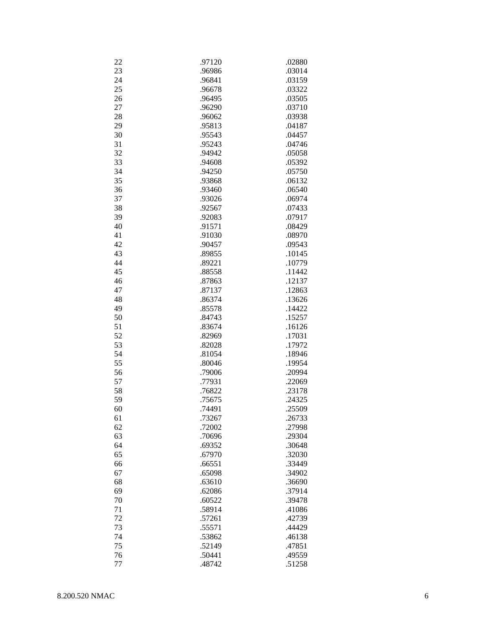| 22 | .97120 | .02880 |
|----|--------|--------|
| 23 | .96986 | .03014 |
| 24 | .96841 | .03159 |
| 25 | .96678 | .03322 |
| 26 | .96495 | .03505 |
| 27 | .96290 | .03710 |
| 28 | .96062 | .03938 |
| 29 | .95813 |        |
|    |        | .04187 |
| 30 | .95543 | .04457 |
| 31 | .95243 | .04746 |
| 32 | .94942 | .05058 |
| 33 | .94608 | .05392 |
| 34 | .94250 | .05750 |
| 35 | .93868 | .06132 |
| 36 | .93460 | .06540 |
| 37 | .93026 | .06974 |
| 38 | .92567 | .07433 |
| 39 | .92083 | .07917 |
| 40 | .91571 | .08429 |
| 41 | .91030 | .08970 |
| 42 | .90457 | .09543 |
| 43 | .89855 | .10145 |
| 44 | .89221 | .10779 |
| 45 | .88558 | .11442 |
| 46 | .87863 | .12137 |
| 47 | .87137 | .12863 |
|    |        |        |
| 48 | .86374 | .13626 |
| 49 | .85578 | .14422 |
| 50 | .84743 | .15257 |
| 51 | .83674 | .16126 |
| 52 | .82969 | .17031 |
| 53 | .82028 | .17972 |
| 54 | .81054 | .18946 |
| 55 | .80046 | .19954 |
| 56 | .79006 | .20994 |
| 57 | .77931 | .22069 |
| 58 | .76822 | .23178 |
| 59 | .75675 | .24325 |
| 60 | .74491 | .25509 |
| 61 | .73267 | .26733 |
| 62 | .72002 | .27998 |
| 63 | .70696 | .29304 |
| 64 | .69352 | .30648 |
| 65 | .67970 | .32030 |
| 66 | .66551 | .33449 |
|    | .65098 |        |
| 67 |        | .34902 |
| 68 | .63610 | .36690 |
| 69 | .62086 | .37914 |
| 70 | .60522 | .39478 |
| 71 | .58914 | .41086 |
| 72 | .57261 | .42739 |
| 73 | .55571 | .44429 |
| 74 | .53862 | .46138 |
| 75 | .52149 | .47851 |
| 76 | .50441 | .49559 |
| 77 | .48742 | .51258 |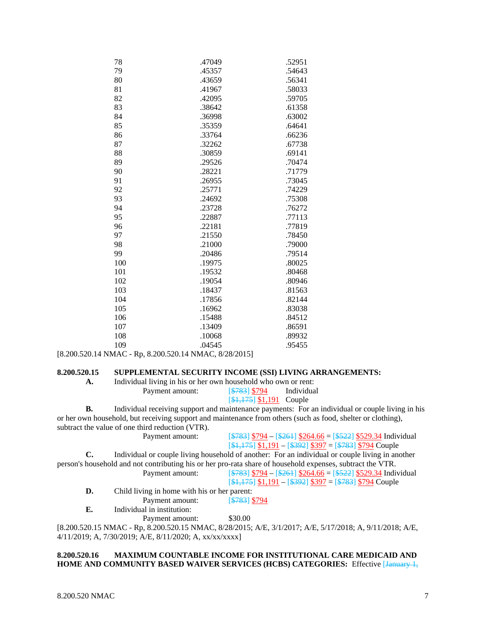| 78  | .47049 | .52951 |
|-----|--------|--------|
| 79  | .45357 | .54643 |
| 80  | .43659 | .56341 |
| 81  | .41967 | .58033 |
| 82  | .42095 | .59705 |
| 83  | .38642 | .61358 |
| 84  | .36998 | .63002 |
| 85  | .35359 | .64641 |
| 86  | .33764 | .66236 |
| 87  | .32262 | .67738 |
| 88  | .30859 | .69141 |
| 89  | .29526 | .70474 |
| 90  | .28221 | .71779 |
| 91  | .26955 | .73045 |
| 92  | .25771 | .74229 |
| 93  | .24692 | .75308 |
| 94  | .23728 | .76272 |
| 95  | .22887 | .77113 |
| 96  | .22181 | .77819 |
| 97  | .21550 | .78450 |
| 98  | .21000 | .79000 |
| 99  | .20486 | .79514 |
| 100 | .19975 | .80025 |
| 101 | .19532 | .80468 |
| 102 | .19054 | .80946 |
| 103 | .18437 | .81563 |
| 104 | .17856 | .82144 |
| 105 | .16962 | .83038 |
| 106 | .15488 | .84512 |
| 107 | .13409 | .86591 |
| 108 | .10068 | .89932 |
| 109 | .04545 | .95455 |

[8.200.520.14 NMAC - Rp, 8.200.520.14 NMAC, 8/28/2015]

### **8.200.520.15 SUPPLEMENTAL SECURITY INCOME (SSI) LIVING ARRANGEMENTS:**

# **A.** Individual living in his or her own household who own or rent:

| THROUGH HATTE IN THE OFFICE OWN HOUSEHOLD WHO OWN OF FEHL. |                                    |            |
|------------------------------------------------------------|------------------------------------|------------|
| Payment amount:                                            | [ <del>\$783</del> ] \$794         | Individual |
|                                                            | $[\frac{\$1,175}{\$1,191}]$ Couple |            |

**B.** Individual receiving support and maintenance payments: For an individual or couple living in his or her own household, but receiving support and maintenance from others (such as food, shelter or clothing), subtract the value of one third reduction (VTR).

| Payment amount: | $\sqrt{\frac{$783}{9}}$ \$794 – $\sqrt{\frac{$264}{9}}$ \$264.66 = $\sqrt{\frac{$522}{9}}$ \$529.34 Individual |
|-----------------|----------------------------------------------------------------------------------------------------------------|
|                 | $\frac{\$1,175}{\$1,191} - \frac{\$392}{\$397} = \frac{\$783}{\$794}$ Couple                                   |
|                 | Individual or couple living household of another: For an individual or couple living in another                |

person's household and not contributing his or her pro-rata share of household expenses, subtract the VTR. Payment amount: <sup>[\$783]</sup> \$794 – [\$261] \$264.66 = [\$522] \$529.34 Individual

| 1.4112110.01110.01110 |                                                                                 |
|-----------------------|---------------------------------------------------------------------------------|
|                       | $[\frac{\$1,175}{\$1,191} - [\frac{\$392}{\$397} = [\frac{\$783}{\$794}$ Couple |
|                       |                                                                                 |

**D.** Child living in home with his or her parent: Payment amount: [\$783] \$794

**E.** Individual in institution:

Payment amount: \$30.00

[8.200.520.15 NMAC - Rp, 8.200.520.15 NMAC, 8/28/2015; A/E, 3/1/2017; A/E, 5/17/2018; A, 9/11/2018; A/E, 4/11/2019; A, 7/30/2019; A/E, 8/11/2020; A, xx/xx/xxxx]

## **8.200.520.16 MAXIMUM COUNTABLE INCOME FOR INSTITUTIONAL CARE MEDICAID AND HOME AND COMMUNITY BASED WAIVER SERVICES (HCBS) CATEGORIES:** Effective [January 1,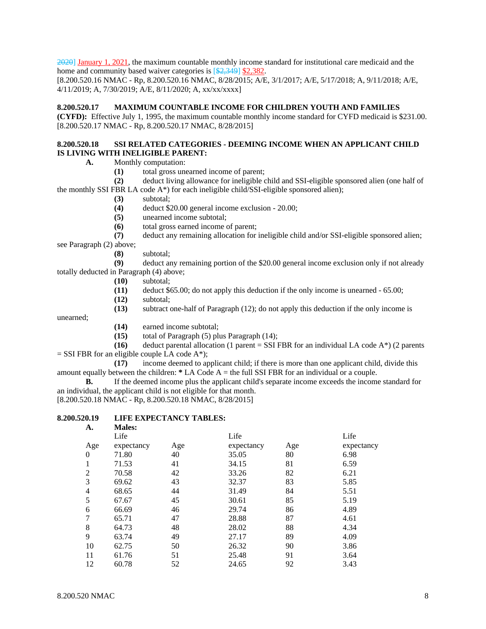2020] January 1, 2021, the maximum countable monthly income standard for institutional care medicaid and the home and community based waiver categories is [\$2,349] \$2,382.

[8.200.520.16 NMAC - Rp, 8.200.520.16 NMAC, 8/28/2015; A/E, 3/1/2017; A/E, 5/17/2018; A, 9/11/2018; A/E, 4/11/2019; A, 7/30/2019; A/E, 8/11/2020; A, xx/xx/xxxx]

#### **8.200.520.17 MAXIMUM COUNTABLE INCOME FOR CHILDREN YOUTH AND FAMILIES**

**(CYFD):** Effective July 1, 1995, the maximum countable monthly income standard for CYFD medicaid is \$231.00. [8.200.520.17 NMAC - Rp, 8.200.520.17 NMAC, 8/28/2015]

### **8.200.520.18 SSI RELATED CATEGORIES - DEEMING INCOME WHEN AN APPLICANT CHILD IS LIVING WITH INELIGIBLE PARENT:**

**A.** Monthly computation:

**(1)** total gross unearned income of parent;

 **(2)** deduct living allowance for ineligible child and SSI-eligible sponsored alien (one half of the monthly SSI FBR LA code A\*) for each ineligible child/SSI-eligible sponsored alien);

- **(3)** subtotal;
- **(4)** deduct \$20.00 general income exclusion 20.00;
- **(5)** unearned income subtotal;
- **(6)** total gross earned income of parent;
- **(7)** deduct any remaining allocation for ineligible child and/or SSI-eligible sponsored alien;

see Paragraph (2) above;

**(8)** subtotal;

 **(9)** deduct any remaining portion of the \$20.00 general income exclusion only if not already totally deducted in Paragraph (4) above;

- **(10)** subtotal;
- **(11)** deduct \$65.00; do not apply this deduction if the only income is unearned 65.00;
- **(12)** subtotal;
- **(13)** subtract one-half of Paragraph (12); do not apply this deduction if the only income is

unearned;

- **(14)** earned income subtotal;
- **(15)** total of Paragraph (5) plus Paragraph (14);

 **(16)** deduct parental allocation (1 parent = SSI FBR for an individual LA code A\*) (2 parents  $=$  SSI FBR for an eligible couple LA code A\*);

 **(17)** income deemed to applicant child; if there is more than one applicant child, divide this amount equally between the children: **\*** LA Code A = the full SSI FBR for an individual or a couple.

**B.** If the deemed income plus the applicant child's separate income exceeds the income standard for an individual, the applicant child is not eligible for that month.

[8.200.520.18 NMAC - Rp, 8.200.520.18 NMAC, 8/28/2015]

### **8.200.520.19 LIFE EXPECTANCY TABLES:**

| А.               | <b>Males:</b> |     |            |     |            |
|------------------|---------------|-----|------------|-----|------------|
|                  | Life          |     | Life       |     | Life       |
| Age              | expectancy    | Age | expectancy | Age | expectancy |
| $\boldsymbol{0}$ | 71.80         | 40  | 35.05      | 80  | 6.98       |
| 1                | 71.53         | 41  | 34.15      | 81  | 6.59       |
| $\overline{2}$   | 70.58         | 42  | 33.26      | 82  | 6.21       |
| 3                | 69.62         | 43  | 32.37      | 83  | 5.85       |
| 4                | 68.65         | 44  | 31.49      | 84  | 5.51       |
| 5                | 67.67         | 45  | 30.61      | 85  | 5.19       |
| 6                | 66.69         | 46  | 29.74      | 86  | 4.89       |
| 7                | 65.71         | 47  | 28.88      | 87  | 4.61       |
| 8                | 64.73         | 48  | 28.02      | 88  | 4.34       |
| 9                | 63.74         | 49  | 27.17      | 89  | 4.09       |
| 10               | 62.75         | 50  | 26.32      | 90  | 3.86       |
| 11               | 61.76         | 51  | 25.48      | 91  | 3.64       |
| 12               | 60.78         | 52  | 24.65      | 92  | 3.43       |
|                  |               |     |            |     |            |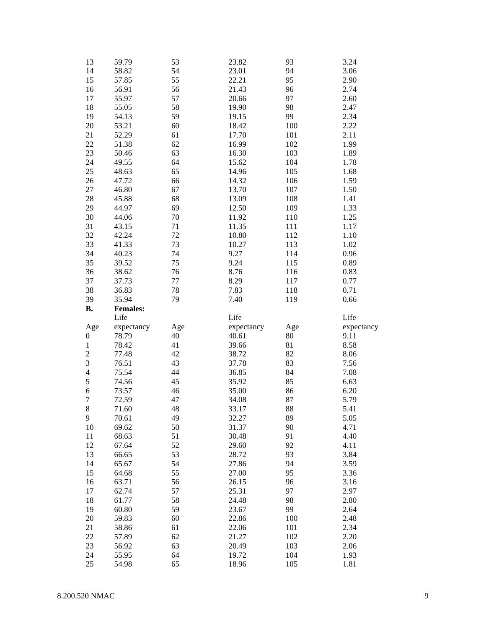| 13               | 59.79           | 53       | 23.82          | 93         | 3.24         |
|------------------|-----------------|----------|----------------|------------|--------------|
| 14               | 58.82           | 54       | 23.01          | 94         | 3.06         |
| 15               | 57.85           | 55       | 22.21          | 95         | 2.90         |
| 16               | 56.91           | 56       | 21.43          | 96         | 2.74         |
| 17               | 55.97           | 57       | 20.66          | 97         | 2.60         |
| 18               | 55.05           | 58       | 19.90          | 98         | 2.47         |
| 19               | 54.13           | 59       | 19.15          | 99         | 2.34         |
| 20               | 53.21           | 60       | 18.42          | 100        | 2.22         |
| 21               | 52.29           | 61       | 17.70          | 101        | 2.11         |
| 22               | 51.38           | 62       | 16.99          | 102        | 1.99         |
| 23               | 50.46           | 63       | 16.30          | 103        | 1.89         |
| 24               | 49.55           | 64       | 15.62          | 104        | 1.78         |
| 25               | 48.63           | 65       | 14.96          | 105        | 1.68         |
| 26               | 47.72           | 66       | 14.32          | 106        | 1.59         |
| 27               | 46.80           | 67       | 13.70          | $107\,$    | 1.50         |
| $28\,$           | 45.88           | 68       | 13.09          | 108        | 1.41         |
| 29               | 44.97           | 69       | 12.50          | 109        | 1.33         |
| 30               | 44.06           | 70       | 11.92          | 110        | 1.25         |
| 31               | 43.15           | 71       | 11.35          | 111        | 1.17         |
| 32               | 42.24           | $72\,$   | 10.80          | 112        | 1.10         |
| 33               | 41.33           | 73       | 10.27          | 113        | 1.02         |
| 34               | 40.23           | 74       | 9.27           | 114        | 0.96         |
| 35               | 39.52           | 75       | 9.24           | 115        | 0.89         |
| 36               | 38.62           | 76       | 8.76           | 116        | 0.83         |
| 37               | 37.73           | 77       | 8.29           | 117        | 0.77         |
| 38               | 36.83           | $78\,$   | 7.83           | 118        | 0.71         |
| 39               | 35.94           | 79       | 7.40           | 119        | 0.66         |
| <b>B.</b>        |                 |          |                |            |              |
|                  |                 |          |                |            |              |
|                  | <b>Females:</b> |          |                |            |              |
|                  | Life            |          | Life           |            | Life         |
| Age              | expectancy      | Age      | expectancy     | Age        | expectancy   |
| $\boldsymbol{0}$ | 78.79           | 40       | 40.61          | $80\,$     | 9.11         |
| $\,1$            | 78.42           | 41       | 39.66          | 81         | 8.58         |
| $\overline{c}$   | 77.48           | 42       | 38.72          | 82         | 8.06         |
| 3                | 76.51           | 43       | 37.78          | 83         | 7.56         |
| $\overline{4}$   | 75.54           | 44       | 36.85          | 84         | 7.08         |
| 5                | 74.56           | 45       | 35.92          | 85         | 6.63         |
| $\sqrt{6}$       | 73.57           | 46       | 35.00          | 86         | 6.20         |
| $\overline{7}$   | 72.59           | 47       | 34.08          | 87         | 5.79         |
| 8                | 71.60           | 48       | 33.17          | 88         | 5.41         |
| 9                | 70.61           | 49       | 32.27          | 89         | 5.05         |
| $10\,$           | 69.62           | 50       | 31.37          | 90         | 4.71         |
| 11               | 68.63           | 51       | 30.48          | 91         | 4.40         |
| 12               | 67.64           | 52       | 29.60          | 92         | 4.11         |
| 13               | 66.65           | 53       | 28.72          | 93         | 3.84         |
| 14               | 65.67           | 54       | 27.86          | 94         | 3.59         |
| 15               | 64.68           | 55       | 27.00          | 95         | 3.36         |
| 16               | 63.71           | 56       | 26.15          | 96         | 3.16         |
| 17               | 62.74           | 57       | 25.31          | 97         | 2.97         |
| 18               | 61.77           | 58       | 24.48          | 98         | 2.80         |
| 19               | 60.80           | 59       | 23.67          | 99         | 2.64         |
| 20               | 59.83           | 60       | 22.86          | 100        | 2.48         |
| 21               | 58.86           | 61       | 22.06          | 101        | 2.34         |
| 22               | 57.89           | 62       | 21.27          | 102        | 2.20         |
| 23               | 56.92           | 63       | 20.49          | 103        | 2.06         |
| 24<br>$25\,$     | 55.95<br>54.98  | 64<br>65 | 19.72<br>18.96 | 104<br>105 | 1.93<br>1.81 |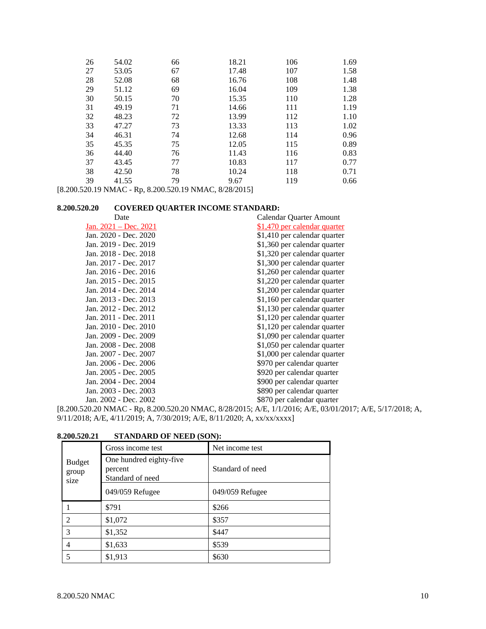| 26 | 54.02 | 66 | 18.21 | 106 | 1.69 |
|----|-------|----|-------|-----|------|
| 27 | 53.05 | 67 | 17.48 | 107 | 1.58 |
| 28 | 52.08 | 68 | 16.76 | 108 | 1.48 |
| 29 | 51.12 | 69 | 16.04 | 109 | 1.38 |
| 30 | 50.15 | 70 | 15.35 | 110 | 1.28 |
| 31 | 49.19 | 71 | 14.66 | 111 | 1.19 |
| 32 | 48.23 | 72 | 13.99 | 112 | 1.10 |
| 33 | 47.27 | 73 | 13.33 | 113 | 1.02 |
| 34 | 46.31 | 74 | 12.68 | 114 | 0.96 |
| 35 | 45.35 | 75 | 12.05 | 115 | 0.89 |
| 36 | 44.40 | 76 | 11.43 | 116 | 0.83 |
| 37 | 43.45 | 77 | 10.83 | 117 | 0.77 |
| 38 | 42.50 | 78 | 10.24 | 118 | 0.71 |
| 39 | 41.55 | 79 | 9.67  | 119 | 0.66 |
|    |       |    |       |     |      |

[8.200.520.19 NMAC - Rp, 8.200.520.19 NMAC, 8/28/2015]

**8.200.520.20 COVERED QUARTER INCOME STANDARD:**

| Date                    | Calendar Quarter Amount             |
|-------------------------|-------------------------------------|
| Jan. $2021 - Dec. 2021$ | <u>\$1,470 per calendar quarter</u> |
| Jan. 2020 - Dec. 2020   | \$1,410 per calendar quarter        |
| Jan. 2019 - Dec. 2019   | \$1,360 per calendar quarter        |
| Jan. 2018 - Dec. 2018   | \$1,320 per calendar quarter        |
| Jan. 2017 - Dec. 2017   | \$1,300 per calendar quarter        |
| Jan. 2016 - Dec. 2016   | \$1,260 per calendar quarter        |
| Jan. 2015 - Dec. 2015   | \$1,220 per calendar quarter        |
| Jan. 2014 - Dec. 2014   | \$1,200 per calendar quarter        |
| Jan. 2013 - Dec. 2013   | \$1,160 per calendar quarter        |
| Jan. 2012 - Dec. 2012   | \$1,130 per calendar quarter        |
| Jan. 2011 - Dec. 2011   | \$1,120 per calendar quarter        |
| Jan. 2010 - Dec. 2010   | \$1,120 per calendar quarter        |
| Jan. 2009 - Dec. 2009   | \$1,090 per calendar quarter        |
| Jan. 2008 - Dec. 2008   | \$1,050 per calendar quarter        |
| Jan. 2007 - Dec. 2007   | \$1,000 per calendar quarter        |
| Jan. 2006 - Dec. 2006   | \$970 per calendar quarter          |
| Jan. 2005 - Dec. 2005   | \$920 per calendar quarter          |
| Jan. 2004 - Dec. 2004   | \$900 per calendar quarter          |
| Jan. 2003 - Dec. 2003   | \$890 per calendar quarter          |
| Jan. 2002 - Dec. 2002   | \$870 per calendar quarter          |

[8.200.520.20 NMAC - Rp, 8.200.520.20 NMAC, 8/28/2015; A/E, 1/1/2016; A/E, 03/01/2017; A/E, 5/17/2018; A, 9/11/2018; A/E, 4/11/2019; A, 7/30/2019; A/E, 8/11/2020; A, xx/xx/xxxx]

|                         | Gross income test                                      | Net income test  |
|-------------------------|--------------------------------------------------------|------------------|
| Budget<br>group<br>size | One hundred eighty-five<br>percent<br>Standard of need | Standard of need |
|                         | 049/059 Refugee                                        | 049/059 Refugee  |
|                         | \$791                                                  | \$266            |
| $\mathfrak{D}$          | \$1,072                                                | \$357            |
| 3                       | \$1,352                                                | \$447            |
| 4                       | \$1,633                                                | \$539            |
| 5                       | \$1,913                                                | \$630            |

**8.200.520.21 STANDARD OF NEED (SON):**